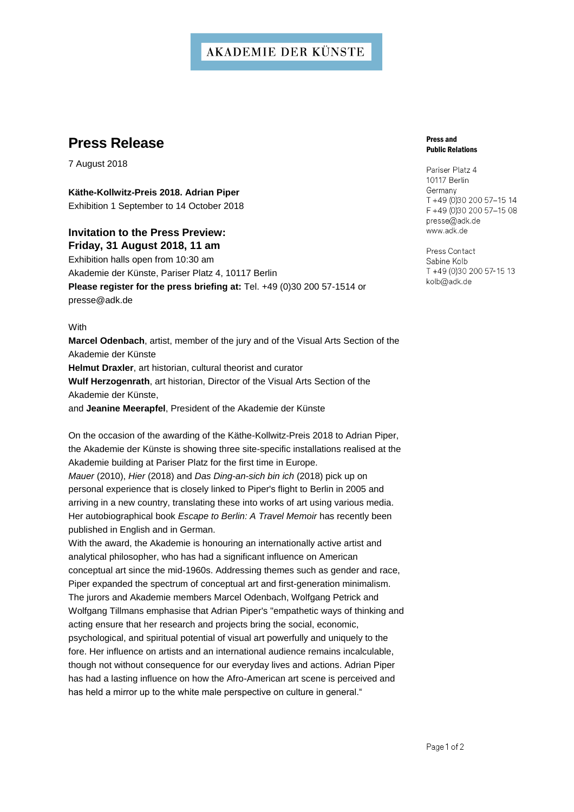## **AKADEMIE DER KÜNSTE**

# **Press Release**

7 August 2018

**Käthe-Kollwitz-Preis 2018. Adrian Piper** Exhibition 1 September to 14 October 2018

### **Invitation to the Press Preview: Friday, 31 August 2018, 11 am**

Exhibition halls open from 10:30 am Akademie der Künste, Pariser Platz 4, 10117 Berlin **Please register for the press briefing at:** Tel. +49 (0)30 200 57-1514 or presse@adk.de

**With** 

**Marcel Odenbach**, artist, member of the jury and of the Visual Arts Section of the Akademie der Künste **Helmut Draxler**, art historian, cultural theorist and curator **Wulf Herzogenrath**, art historian, Director of the Visual Arts Section of the Akademie der Künste,

and **Jeanine Meerapfel**, President of the Akademie der Künste

On the occasion of the awarding of the Käthe-Kollwitz-Preis 2018 to Adrian Piper, the Akademie der Künste is showing three site-specific installations realised at the Akademie building at Pariser Platz for the first time in Europe. *Mauer* (2010), *Hier* (2018) and *Das Ding-an-sich bin ich* (2018) pick up on personal experience that is closely linked to Piper's flight to Berlin in 2005 and arriving in a new country, translating these into works of art using various media. Her autobiographical book *Escape to Berlin: A Travel Memoir* has recently been published in English and in German.

With the award, the Akademie is honouring an internationally active artist and analytical philosopher, who has had a significant influence on American conceptual art since the mid-1960s. Addressing themes such as gender and race, Piper expanded the spectrum of conceptual art and first-generation minimalism. The jurors and Akademie members Marcel Odenbach, Wolfgang Petrick and Wolfgang Tillmans emphasise that Adrian Piper's "empathetic ways of thinking and acting ensure that her research and projects bring the social, economic, psychological, and spiritual potential of visual art powerfully and uniquely to the fore. Her influence on artists and an international audience remains incalculable, though not without consequence for our everyday lives and actions. Adrian Piper has had a lasting influence on how the Afro-American art scene is perceived and has held a mirror up to the white male perspective on culture in general."

#### Press and Public Relations

Pariser Platz 4 10117 Berlin Germany T +49 (0)30 200 57-15 14 F +49 (0)30 200 57-15 08 presse@adk.de www.adk.de

Press Contact Sabine Kolb T +49 (0)30 200 57-15 13 kolb@adk.de